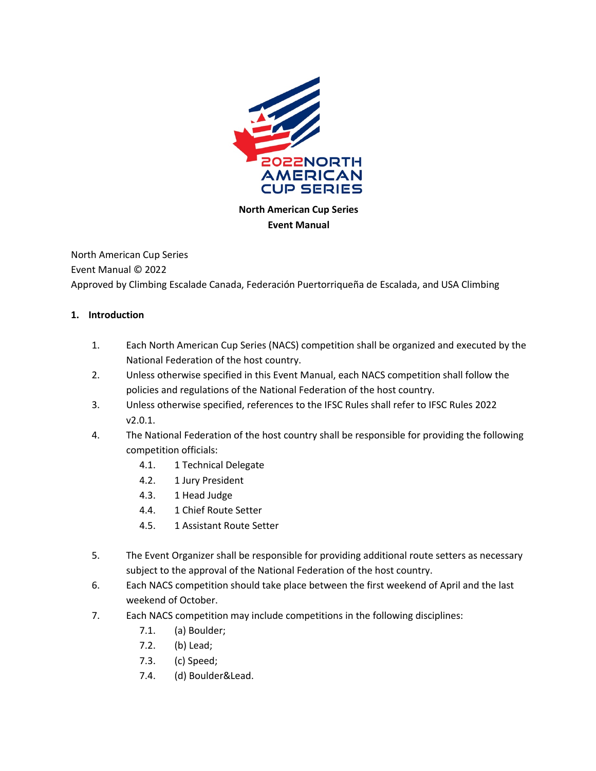

**North American Cup Series Event Manual**

North American Cup Series Event Manual © 2022 Approved by Climbing Escalade Canada, Federación Puertorriqueña de Escalada, and USA Climbing

#### **1. Introduction**

- 1. Each North American Cup Series (NACS) competition shall be organized and executed by the National Federation of the host country.
- 2. Unless otherwise specified in this Event Manual, each NACS competition shall follow the policies and regulations of the National Federation of the host country.
- 3. Unless otherwise specified, references to the IFSC Rules shall refer to IFSC Rules 2022 v2.0.1.
- 4. The National Federation of the host country shall be responsible for providing the following competition officials:
	- 4.1. 1 Technical Delegate
	- 4.2. 1 Jury President
	- 4.3. 1 Head Judge
	- 4.4. 1 Chief Route Setter
	- 4.5. 1 Assistant Route Setter
- 5. The Event Organizer shall be responsible for providing additional route setters as necessary subject to the approval of the National Federation of the host country.
- 6. Each NACS competition should take place between the first weekend of April and the last weekend of October.
- 7. Each NACS competition may include competitions in the following disciplines:
	- 7.1. (a) Boulder;
	- 7.2. (b) Lead;
	- 7.3. (c) Speed;
	- 7.4. (d) Boulder&Lead.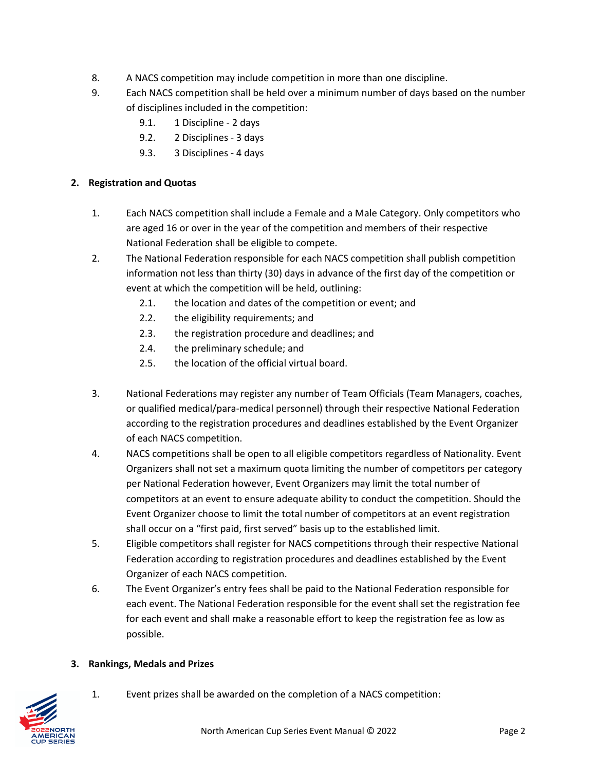- 8. A NACS competition may include competition in more than one discipline.
- 9. Each NACS competition shall be held over a minimum number of days based on the number of disciplines included in the competition:
	- 9.1. 1 Discipline 2 days
	- 9.2. 2 Disciplines 3 days
	- 9.3. 3 Disciplines 4 days

### **2. Registration and Quotas**

- 1. Each NACS competition shall include a Female and a Male Category. Only competitors who are aged 16 or over in the year of the competition and members of their respective National Federation shall be eligible to compete.
- 2. The National Federation responsible for each NACS competition shall publish competition information not less than thirty (30) days in advance of the first day of the competition or event at which the competition will be held, outlining:
	- 2.1. the location and dates of the competition or event; and
	- 2.2. the eligibility requirements; and
	- 2.3. the registration procedure and deadlines; and
	- 2.4. the preliminary schedule; and
	- 2.5. the location of the official virtual board.
- 3. National Federations may register any number of Team Officials (Team Managers, coaches, or qualified medical/para-medical personnel) through their respective National Federation according to the registration procedures and deadlines established by the Event Organizer of each NACS competition.
- 4. NACS competitions shall be open to all eligible competitors regardless of Nationality. Event Organizers shall not set a maximum quota limiting the number of competitors per category per National Federation however, Event Organizers may limit the total number of competitors at an event to ensure adequate ability to conduct the competition. Should the Event Organizer choose to limit the total number of competitors at an event registration shall occur on a "first paid, first served" basis up to the established limit.
- 5. Eligible competitors shall register for NACS competitions through their respective National Federation according to registration procedures and deadlines established by the Event Organizer of each NACS competition.
- 6. The Event Organizer's entry fees shall be paid to the National Federation responsible for each event. The National Federation responsible for the event shall set the registration fee for each event and shall make a reasonable effort to keep the registration fee as low as possible.

## **3. Rankings, Medals and Prizes**



1. Event prizes shall be awarded on the completion of a NACS competition: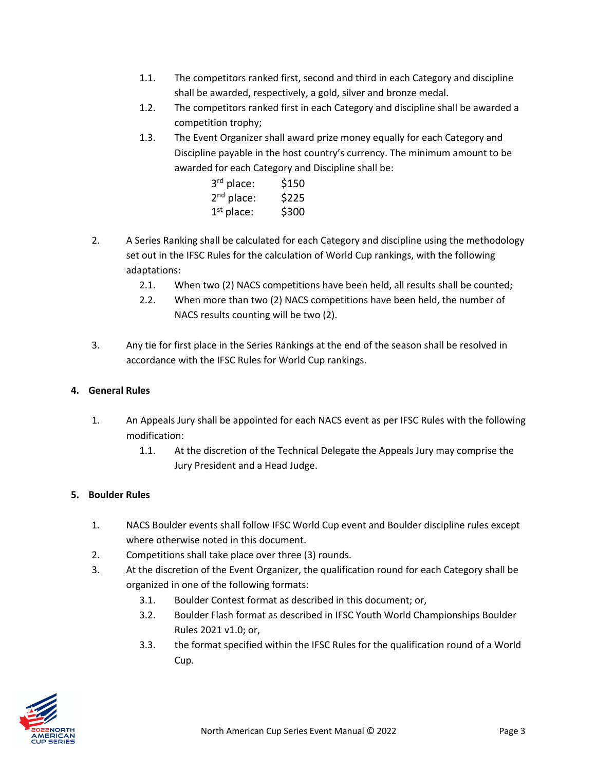- 1.1. The competitors ranked first, second and third in each Category and discipline shall be awarded, respectively, a gold, silver and bronze medal.
- 1.2. The competitors ranked first in each Category and discipline shall be awarded a competition trophy;
- 1.3. The Event Organizer shall award prize money equally for each Category and Discipline payable in the host country's currency. The minimum amount to be awarded for each Category and Discipline shall be:

| 3rd place:   | \$150 |
|--------------|-------|
| $2nd$ place: | \$225 |
| $1st$ place: | \$300 |

- 2. A Series Ranking shall be calculated for each Category and discipline using the methodology set out in the IFSC Rules for the calculation of World Cup rankings, with the following adaptations:
	- 2.1. When two (2) NACS competitions have been held, all results shall be counted;
	- 2.2. When more than two (2) NACS competitions have been held, the number of NACS results counting will be two (2).
- 3. Any tie for first place in the Series Rankings at the end of the season shall be resolved in accordance with the IFSC Rules for World Cup rankings.

## **4. General Rules**

- 1. An Appeals Jury shall be appointed for each NACS event as per IFSC Rules with the following modification:
	- 1.1. At the discretion of the Technical Delegate the Appeals Jury may comprise the Jury President and a Head Judge.

## **5. Boulder Rules**

- 1. NACS Boulder events shall follow IFSC World Cup event and Boulder discipline rules except where otherwise noted in this document.
- 2. Competitions shall take place over three (3) rounds.
- 3. At the discretion of the Event Organizer, the qualification round for each Category shall be organized in one of the following formats:
	- 3.1. Boulder Contest format as described in this document; or,
	- 3.2. Boulder Flash format as described in IFSC Youth World Championships Boulder Rules 2021 v1.0; or,
	- 3.3. the format specified within the IFSC Rules for the qualification round of a World Cup.

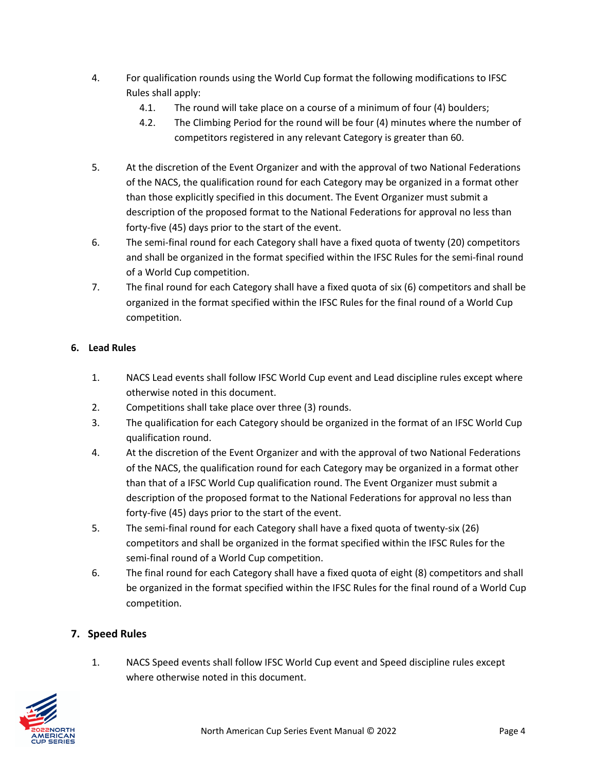- 4. For qualification rounds using the World Cup format the following modifications to IFSC Rules shall apply:
	- 4.1. The round will take place on a course of a minimum of four (4) boulders;
	- 4.2. The Climbing Period for the round will be four (4) minutes where the number of competitors registered in any relevant Category is greater than 60.
- 5. At the discretion of the Event Organizer and with the approval of two National Federations of the NACS, the qualification round for each Category may be organized in a format other than those explicitly specified in this document. The Event Organizer must submit a description of the proposed format to the National Federations for approval no less than forty-five (45) days prior to the start of the event.
- 6. The semi-final round for each Category shall have a fixed quota of twenty (20) competitors and shall be organized in the format specified within the IFSC Rules for the semi-final round of a World Cup competition.
- 7. The final round for each Category shall have a fixed quota of six (6) competitors and shall be organized in the format specified within the IFSC Rules for the final round of a World Cup competition.

# **6. Lead Rules**

- 1. NACS Lead events shall follow IFSC World Cup event and Lead discipline rules except where otherwise noted in this document.
- 2. Competitions shall take place over three (3) rounds.
- 3. The qualification for each Category should be organized in the format of an IFSC World Cup qualification round.
- 4. At the discretion of the Event Organizer and with the approval of two National Federations of the NACS, the qualification round for each Category may be organized in a format other than that of a IFSC World Cup qualification round. The Event Organizer must submit a description of the proposed format to the National Federations for approval no less than forty-five (45) days prior to the start of the event.
- 5. The semi-final round for each Category shall have a fixed quota of twenty-six (26) competitors and shall be organized in the format specified within the IFSC Rules for the semi-final round of a World Cup competition.
- 6. The final round for each Category shall have a fixed quota of eight (8) competitors and shall be organized in the format specified within the IFSC Rules for the final round of a World Cup competition.

## **7. Speed Rules**

1. NACS Speed events shall follow IFSC World Cup event and Speed discipline rules except where otherwise noted in this document.

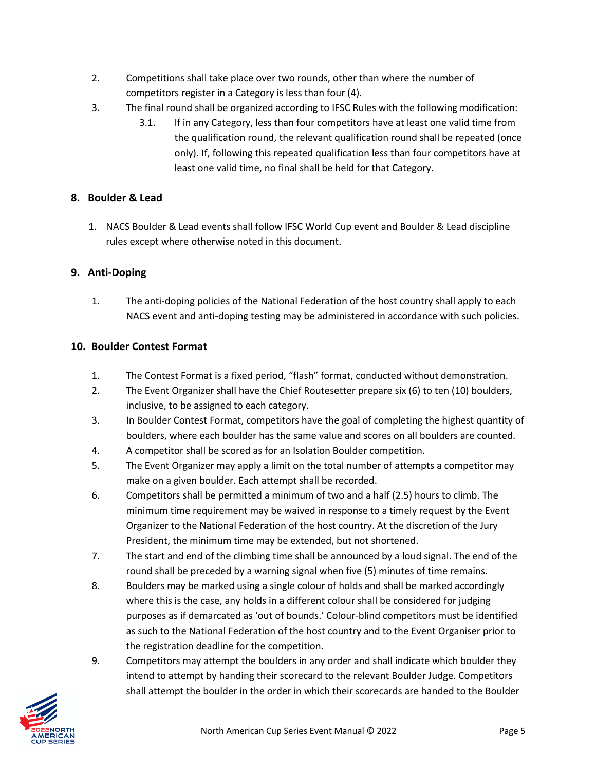- 2. Competitions shall take place over two rounds, other than where the number of competitors register in a Category is less than four (4).
- 3. The final round shall be organized according to IFSC Rules with the following modification:
	- 3.1. If in any Category, less than four competitors have at least one valid time from the qualification round, the relevant qualification round shall be repeated (once only). If, following this repeated qualification less than four competitors have at least one valid time, no final shall be held for that Category.

### **8. Boulder & Lead**

1. NACS Boulder & Lead events shall follow IFSC World Cup event and Boulder & Lead discipline rules except where otherwise noted in this document.

### **9. Anti-Doping**

1. The anti-doping policies of the National Federation of the host country shall apply to each NACS event and anti-doping testing may be administered in accordance with such policies.

### **10. Boulder Contest Format**

- 1. The Contest Format is a fixed period, "flash" format, conducted without demonstration.
- 2. The Event Organizer shall have the Chief Routesetter prepare six (6) to ten (10) boulders, inclusive, to be assigned to each category.
- 3. In Boulder Contest Format, competitors have the goal of completing the highest quantity of boulders, where each boulder has the same value and scores on all boulders are counted.
- 4. A competitor shall be scored as for an Isolation Boulder competition.
- 5. The Event Organizer may apply a limit on the total number of attempts a competitor may make on a given boulder. Each attempt shall be recorded.
- 6. Competitors shall be permitted a minimum of two and a half (2.5) hours to climb. The minimum time requirement may be waived in response to a timely request by the Event Organizer to the National Federation of the host country. At the discretion of the Jury President, the minimum time may be extended, but not shortened.
- 7. The start and end of the climbing time shall be announced by a loud signal. The end of the round shall be preceded by a warning signal when five (5) minutes of time remains.
- 8. Boulders may be marked using a single colour of holds and shall be marked accordingly where this is the case, any holds in a different colour shall be considered for judging purposes as if demarcated as 'out of bounds.' Colour-blind competitors must be identified as such to the National Federation of the host country and to the Event Organiser prior to the registration deadline for the competition.
- 9. Competitors may attempt the boulders in any order and shall indicate which boulder they intend to attempt by handing their scorecard to the relevant Boulder Judge. Competitors shall attempt the boulder in the order in which their scorecards are handed to the Boulder